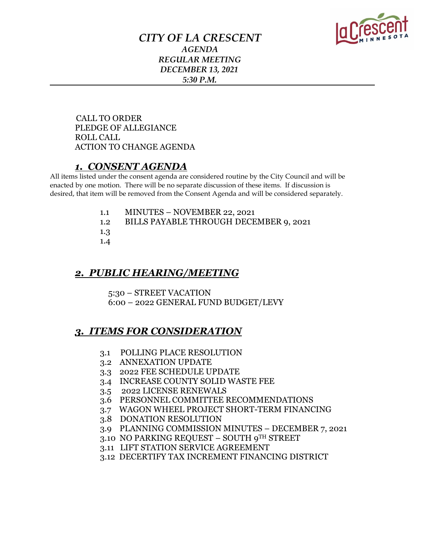

### *CITY OF LA CRESCENT AGENDA REGULAR MEETING DECEMBER 13, 2021 5:30 P.M.*

 CALL TO ORDER PLEDGE OF ALLEGIANCE ROLL CALL ACTION TO CHANGE AGENDA

### *1. CONSENT AGENDA*

All items listed under the consent agenda are considered routine by the City Council and will be enacted by one motion. There will be no separate discussion of these items. If discussion is desired, that item will be removed from the Consent Agenda and will be considered separately.

- 1.1 MINUTES NOVEMBER 22, 2021
- 1.2 BILLS PAYABLE THROUGH DECEMBER 9, 2021
- 1.3
- 1.4

### *2. PUBLIC HEARING/MEETING*

5:30 – STREET VACATION

6:00 – 2022 GENERAL FUND BUDGET/LEVY

### *3. ITEMS FOR CONSIDERATION*

- 3.1 POLLING PLACE RESOLUTION
- 3.2 ANNEXATION UPDATE
- 3.3 2022 FEE SCHEDULE UPDATE
- 3.4 INCREASE COUNTY SOLID WASTE FEE
- 3.5 2022 LICENSE RENEWALS
- 3.6 PERSONNEL COMMITTEE RECOMMENDATIONS
- 3.7 WAGON WHEEL PROJECT SHORT-TERM FINANCING
- 3.8 DONATION RESOLUTION
- 3.9 PLANNING COMMISSION MINUTES DECEMBER 7, 2021
- 3.10 NO PARKING REQUEST SOUTH 9TH STREET
- 3.11 LIFT STATION SERVICE AGREEMENT
- 3.12 DECERTIFY TAX INCREMENT FINANCING DISTRICT